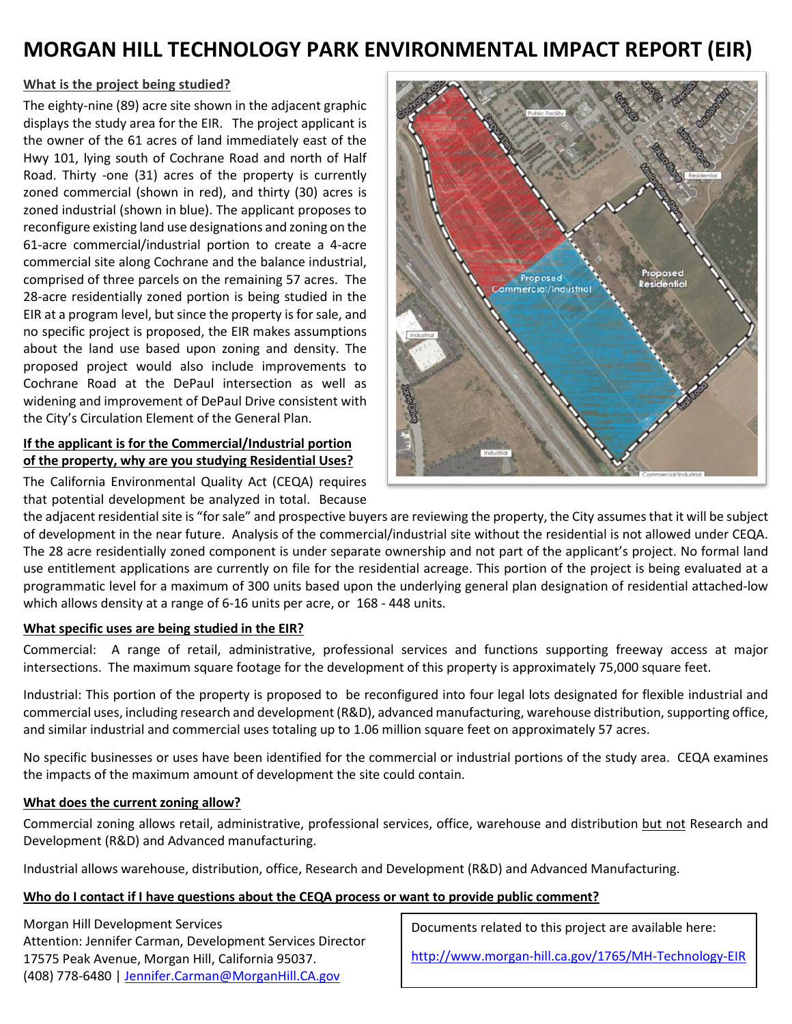# **MORGAN HILL TECHNOLOGY PARK ENVIRONMENTAL IMPACT REPORT (EIR)**

## **What is the project being studied?**

The eighty-nine (89) acre site shown in the adjacent graphic displays the study area for the EIR. The project applicant is the owner of the 61 acres of land immediately east of the Hwy 101, lying south of Cochrane Road and north of Half Road. Thirty -one (31) acres of the property is currently zoned commercial (shown in red), and thirty (30) acres is zoned industrial (shown in blue). The applicant proposes to reconfigure existing land use designations and zoning on the 61-acre commercial/industrial portion to create a 4-acre commercial site along Cochrane and the balance industrial, comprised of three parcels on the remaining 57 acres. The 28-acre residentially zoned portion is being studied in the EIR at a program level, but since the property is for sale, and no specific project is proposed, the EIR makes assumptions about the land use based upon zoning and density. The proposed project would also include improvements to Cochrane Road at the DePaul intersection as well as widening and improvement of DePaul Drive consistent with the City's Circulation Element of the General Plan.

## **If the applicant is for the Commercial/Industrial portion of the property, why are you studying Residential Uses?**

The California Environmental Quality Act (CEQA) requires that potential development be analyzed in total. Because



the adjacent residential site is "for sale" and prospective buyers are reviewing the property, the City assumes that it will be subject of development in the near future. Analysis of the commercial/industrial site without the residential is not allowed under CEQA. The 28 acre residentially zoned component is under separate ownership and not part of the applicant's project. No formal land use entitlement applications are currently on file for the residential acreage. This portion of the project is being evaluated at a programmatic level for a maximum of 300 units based upon the underlying general plan designation of residential attached-low which allows density at a range of 6-16 units per acre, or 168 - 448 units.

#### **What specific uses are being studied in the EIR?**

Commercial: A range of retail, administrative, professional services and functions supporting freeway access at major intersections. The maximum square footage for the development of this property is approximately 75,000 square feet.

Industrial: This portion of the property is proposed to be reconfigured into four legal lots designated for flexible industrial and commercial uses, including research and development (R&D), advanced manufacturing, warehouse distribution, supporting office, and similar industrial and commercial uses totaling up to 1.06 million square feet on approximately 57 acres.

No specific businesses or uses have been identified for the commercial or industrial portions of the study area. CEQA examines the impacts of the maximum amount of development the site could contain.

#### **What does the current zoning allow?**

Commercial zoning allows retail, administrative, professional services, office, warehouse and distribution but not Research and Development (R&D) and Advanced manufacturing.

Industrial allows warehouse, distribution, office, Research and Development (R&D) and Advanced Manufacturing.

## **Who do I contact if I have questions about the CEQA process or want to provide public comment?**

Morgan Hill Development Services Attention: Jennifer Carman, Development Services Director 17575 Peak Avenue, Morgan Hill, California 95037. (408) 778-6480 [| Jennifer.Carman@MorganHill.CA.gov](mailto:Jennifer.Carman@MorganHill.CA.gov)

Documents related to this project are available here:

<http://www.morgan-hill.ca.gov/1765/MH-Technology-EIR>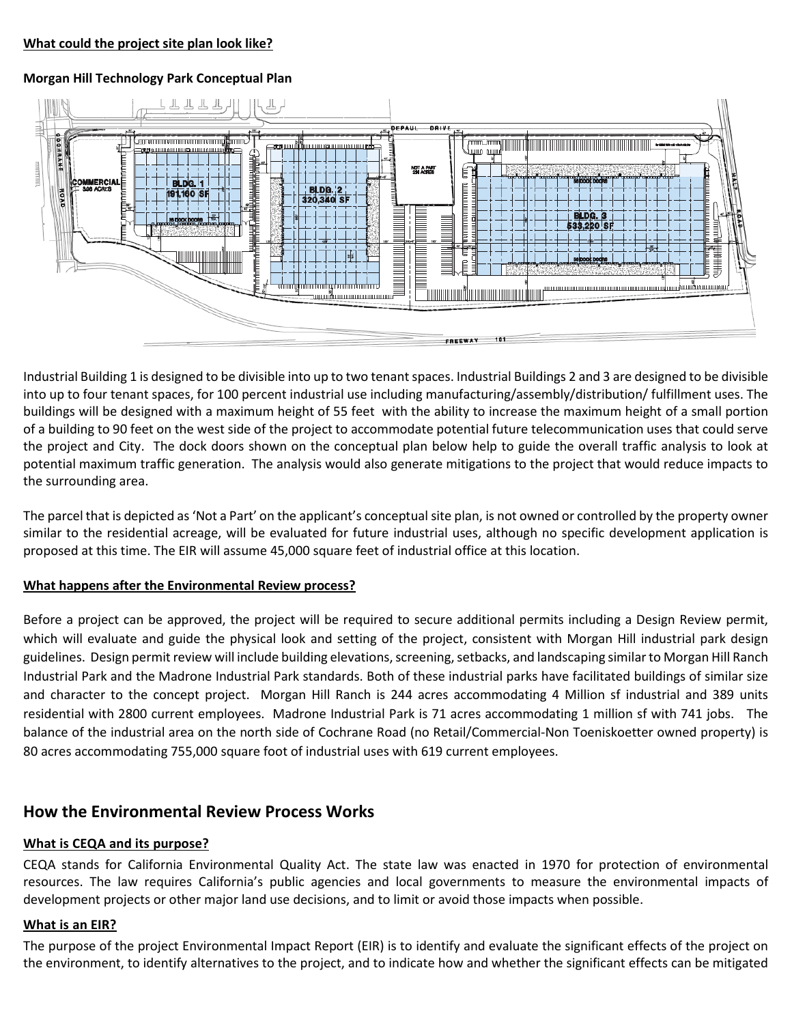#### **Morgan Hill Technology Park Conceptual Plan**



Industrial Building 1 is designed to be divisible into up to two tenant spaces. Industrial Buildings 2 and 3 are designed to be divisible into up to four tenant spaces, for 100 percent industrial use including manufacturing/assembly/distribution/ fulfillment uses. The buildings will be designed with a maximum height of 55 feet with the ability to increase the maximum height of a small portion of a building to 90 feet on the west side of the project to accommodate potential future telecommunication uses that could serve the project and City. The dock doors shown on the conceptual plan below help to guide the overall traffic analysis to look at potential maximum traffic generation. The analysis would also generate mitigations to the project that would reduce impacts to the surrounding area.

The parcel that is depicted as 'Not a Part' on the applicant's conceptual site plan, is not owned or controlled by the property owner similar to the residential acreage, will be evaluated for future industrial uses, although no specific development application is proposed at this time. The EIR will assume 45,000 square feet of industrial office at this location.

#### **What happens after the Environmental Review process?**

Before a project can be approved, the project will be required to secure additional permits including a Design Review permit, which will evaluate and guide the physical look and setting of the project, consistent with Morgan Hill industrial park design guidelines. Design permit review will include building elevations,screening, setbacks, and landscaping similar to Morgan Hill Ranch Industrial Park and the Madrone Industrial Park standards. Both of these industrial parks have facilitated buildings of similar size and character to the concept project. Morgan Hill Ranch is 244 acres accommodating 4 Million sf industrial and 389 units residential with 2800 current employees. Madrone Industrial Park is 71 acres accommodating 1 million sf with 741 jobs. The balance of the industrial area on the north side of Cochrane Road (no Retail/Commercial-Non Toeniskoetter owned property) is 80 acres accommodating 755,000 square foot of industrial uses with 619 current employees.

# **How the Environmental Review Process Works**

#### **What is CEQA and its purpose?**

CEQA stands for California Environmental Quality Act. The state law was enacted in 1970 for protection of environmental resources. The law requires California's public agencies and local governments to measure the environmental impacts of development projects or other major land use decisions, and to limit or avoid those impacts when possible.

#### **What is an EIR?**

The purpose of the project Environmental Impact Report (EIR) is to identify and evaluate the significant effects of the project on the environment, to identify alternatives to the project, and to indicate how and whether the significant effects can be mitigated